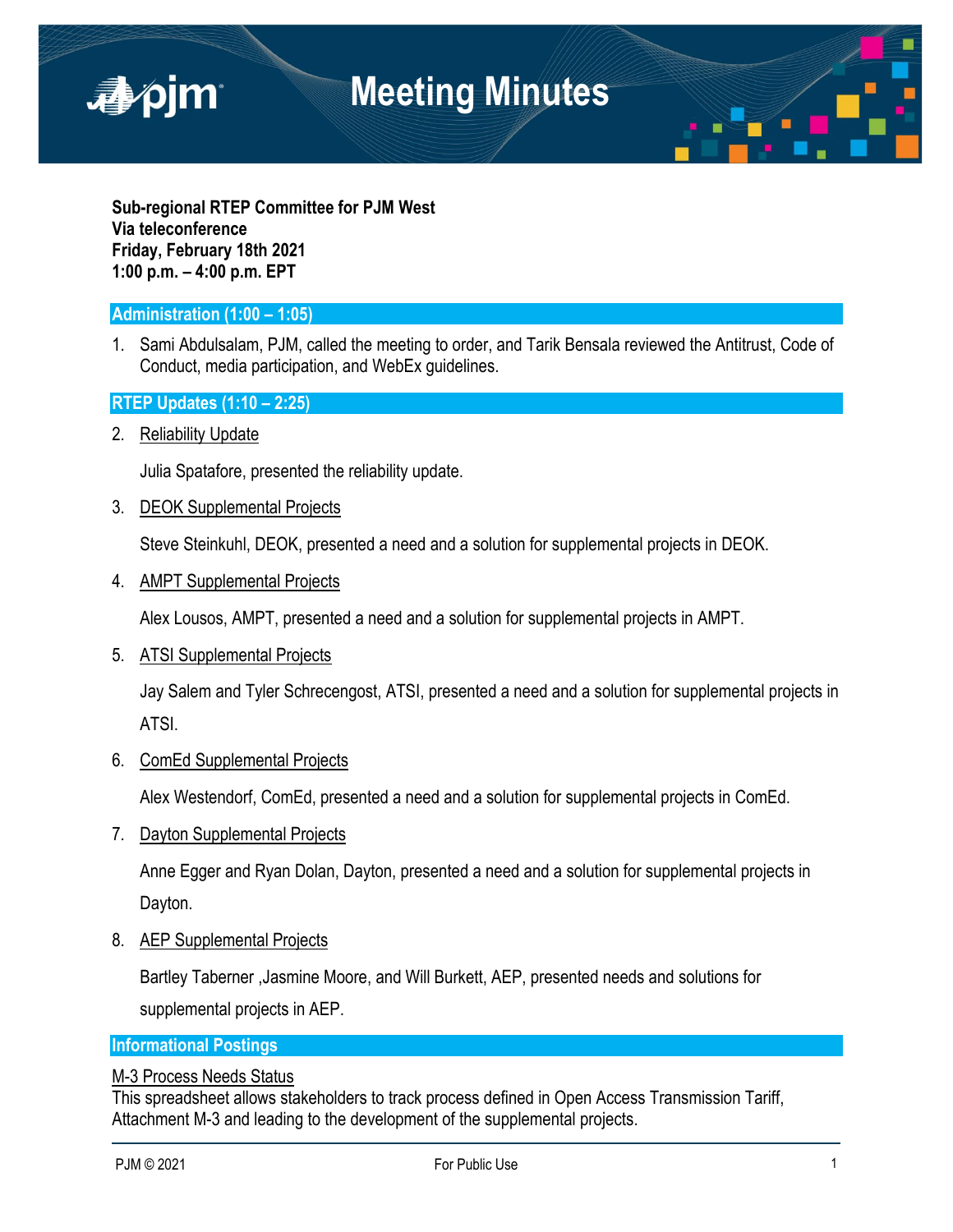

**Sub-regional RTEP Committee for PJM West Via teleconference Friday, February 18th 2021 1:00 p.m. – 4:00 p.m. EPT**

# **Administration (1:00 – 1:05)**

1. Sami Abdulsalam, PJM, called the meeting to order, and Tarik Bensala reviewed the Antitrust, Code of Conduct, media participation, and WebEx guidelines.

# **RTEP Updates (1:10 – 2:25)**

2. Reliability Update

Julia Spatafore, presented the reliability update.

3. DEOK Supplemental Projects

Steve Steinkuhl, DEOK, presented a need and a solution for supplemental projects in DEOK.

4. AMPT Supplemental Projects

Alex Lousos, AMPT, presented a need and a solution for supplemental projects in AMPT.

5. ATSI Supplemental Projects

Jay Salem and Tyler Schrecengost, ATSI, presented a need and a solution for supplemental projects in ATSI.

6. ComEd Supplemental Projects

Alex Westendorf, ComEd, presented a need and a solution for supplemental projects in ComEd.

7. Dayton Supplemental Projects

Anne Egger and Ryan Dolan, Dayton, presented a need and a solution for supplemental projects in Dayton.

8. AEP Supplemental Projects

Bartley Taberner ,Jasmine Moore, and Will Burkett, AEP, presented needs and solutions for supplemental projects in AEP.

## **Informational Postings**

## M-3 Process Needs Status

This spreadsheet allows stakeholders to track process defined in Open Access Transmission Tariff, Attachment M-3 and leading to the development of the supplemental projects.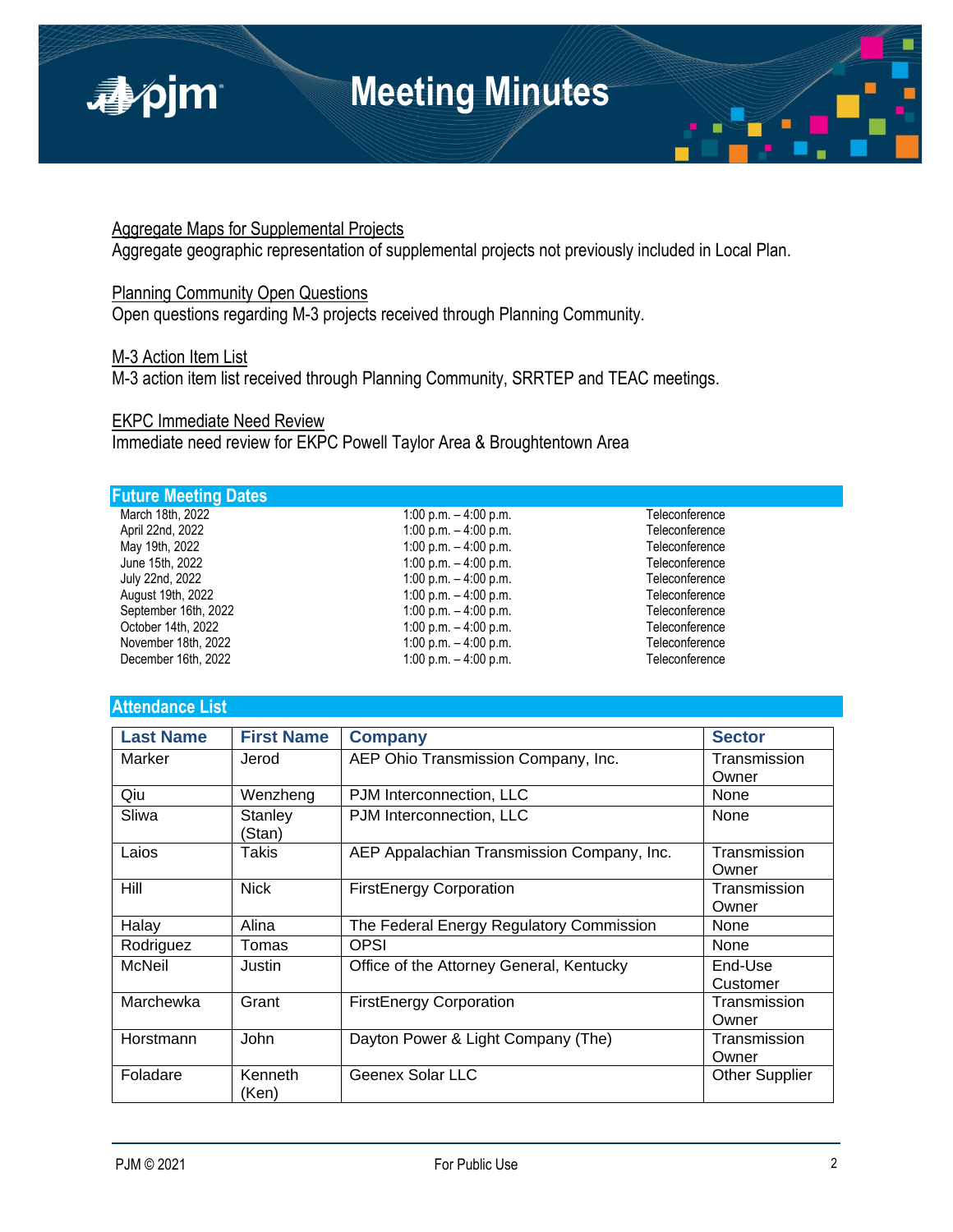

## Aggregate Maps for Supplemental Projects

Aggregate geographic representation of supplemental projects not previously included in Local Plan.

# Planning Community Open Questions

Open questions regarding M-3 projects received through Planning Community.

#### M-3 Action Item List

M-3 action item list received through Planning Community, SRRTEP and TEAC meetings.

## EKPC Immediate Need Review

Immediate need review for EKPC Powell Taylor Area & Broughtentown Area

### **Future Meeting Dates**

| March 18th, 2022     |
|----------------------|
| April 22nd, 2022     |
| May 19th, 2022       |
| June 15th, 2022      |
| July 22nd, 2022      |
| August 19th, 2022    |
| September 16th, 2022 |
| October 14th, 2022   |
| November 18th, 2022  |
| December 16th, 2022  |
|                      |

1:00 p.m. – 4:00 p.m.<br>1:00 p.m. – 4:00 p.m. 1:00 p.m. Teleconference 1:00 p.m. – 4:00 p.m.<br>1:00 p.m. – 4:00 p.m. example and the Teleconference 1:00 p.m.  $-$  4:00 p.m.  $1:00 \text{ p.m.} - 4:00 \text{ p.m.}$  Teleconference  $1:00$  p.m.  $-4:00$  p.m. Teleconference  $1:00 \text{ p.m.} - 4:00 \text{ p.m.}$  Teleconference  $1:00$  p.m.  $-4:00$  p.m. Teleconference 1:00 p.m. – 4:00 p.m.<br>1:00 p.m. – 4:00 p.m. 1:00 p.m. Teleconference 1:00 p.m. – 4:00 p.m.<br>1:00 p.m. – 4:00 p.m. 1:00 p.m. Teleconference 1:00 p.m. – 4:00 p.m.

#### **Attendance List**

| <b>Last Name</b> | <b>First Name</b> | <b>Company</b>                             | <b>Sector</b>         |
|------------------|-------------------|--------------------------------------------|-----------------------|
| Marker           | Jerod             | AEP Ohio Transmission Company, Inc.        | Transmission<br>Owner |
| Qiu              | Wenzheng          | PJM Interconnection, LLC                   | None                  |
| Sliwa            | Stanley<br>(Stan) | PJM Interconnection, LLC                   | None                  |
| Laios            | Takis             | AEP Appalachian Transmission Company, Inc. | Transmission<br>Owner |
| Hill             | <b>Nick</b>       | <b>FirstEnergy Corporation</b>             | Transmission<br>Owner |
| Halay            | Alina             | The Federal Energy Regulatory Commission   | None                  |
| Rodriguez        | Tomas             | <b>OPSI</b>                                | None                  |
| McNeil           | Justin            | Office of the Attorney General, Kentucky   | End-Use<br>Customer   |
| Marchewka        | Grant             | <b>FirstEnergy Corporation</b>             | Transmission<br>Owner |
| Horstmann        | John              | Dayton Power & Light Company (The)         | Transmission<br>Owner |
| Foladare         | Kenneth<br>(Ken)  | <b>Geenex Solar LLC</b>                    | <b>Other Supplier</b> |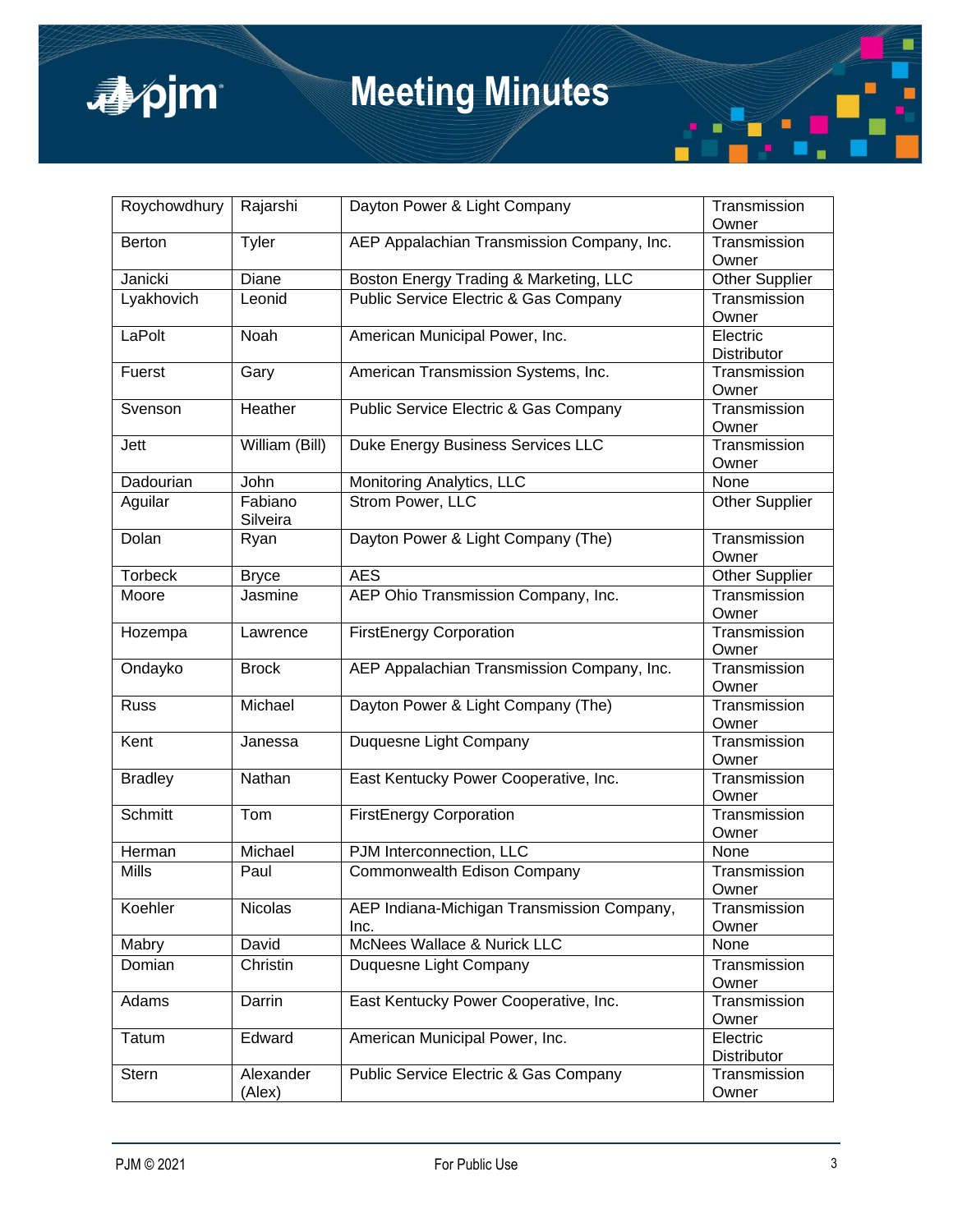

# **Meeting Minutes**

| Roychowdhury   | Rajarshi       | Dayton Power & Light Company               | Transmission<br>Owner |
|----------------|----------------|--------------------------------------------|-----------------------|
| <b>Berton</b>  | Tyler          | AEP Appalachian Transmission Company, Inc. | Transmission<br>Owner |
| Janicki        | Diane          | Boston Energy Trading & Marketing, LLC     | <b>Other Supplier</b> |
| Lyakhovich     | Leonid         | Public Service Electric & Gas Company      | Transmission          |
|                |                |                                            | Owner                 |
| LaPolt         | Noah           | American Municipal Power, Inc.             | Electric              |
|                |                |                                            | <b>Distributor</b>    |
| Fuerst         | Gary           | American Transmission Systems, Inc.        | Transmission          |
|                |                |                                            | Owner                 |
| Svenson        | Heather        | Public Service Electric & Gas Company      | Transmission          |
|                |                |                                            | Owner                 |
| Jett           | William (Bill) | Duke Energy Business Services LLC          | Transmission<br>Owner |
| Dadourian      | John           | Monitoring Analytics, LLC                  | None                  |
| Aguilar        | Fabiano        | Strom Power, LLC                           | <b>Other Supplier</b> |
|                | Silveira       |                                            |                       |
| Dolan          | Ryan           | Dayton Power & Light Company (The)         | Transmission          |
|                |                |                                            | Owner                 |
| <b>Torbeck</b> | <b>Bryce</b>   | <b>AES</b>                                 | <b>Other Supplier</b> |
| Moore          | Jasmine        | AEP Ohio Transmission Company, Inc.        | Transmission          |
|                |                |                                            | Owner                 |
| Hozempa        | Lawrence       | <b>FirstEnergy Corporation</b>             | Transmission          |
|                |                |                                            | Owner                 |
| Ondayko        | <b>Brock</b>   | AEP Appalachian Transmission Company, Inc. | Transmission          |
|                |                |                                            | Owner                 |
| <b>Russ</b>    | Michael        | Dayton Power & Light Company (The)         | Transmission          |
|                |                |                                            | Owner                 |
| Kent           | Janessa        | Duquesne Light Company                     | Transmission          |
|                | Nathan         |                                            | Owner<br>Transmission |
| <b>Bradley</b> |                | East Kentucky Power Cooperative, Inc.      | Owner                 |
| Schmitt        | Tom            | <b>FirstEnergy Corporation</b>             | Transmission          |
|                |                |                                            | Owner                 |
| Herman         | Michael        | PJM Interconnection, LLC                   | None                  |
| Mills          | Paul           | Commonwealth Edison Company                | Transmission          |
|                |                |                                            | Owner                 |
| Koehler        | Nicolas        | AEP Indiana-Michigan Transmission Company, | Transmission          |
|                |                | Inc.                                       | Owner                 |
| Mabry          | David          | McNees Wallace & Nurick LLC                | None                  |
| Domian         | Christin       | Duquesne Light Company                     | Transmission          |
|                |                |                                            | Owner                 |
| Adams          | Darrin         | East Kentucky Power Cooperative, Inc.      | Transmission          |
|                |                |                                            | Owner                 |
| <b>Tatum</b>   | Edward         | American Municipal Power, Inc.             | Electric              |
|                |                |                                            | Distributor           |
| <b>Stern</b>   | Alexander      | Public Service Electric & Gas Company      | Transmission<br>Owner |
|                | (Alex)         |                                            |                       |